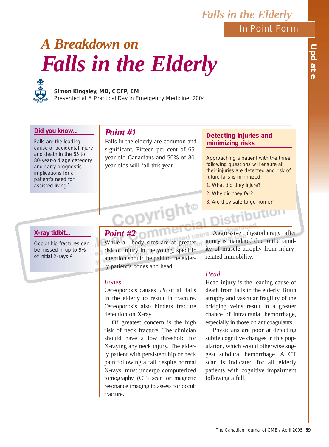In Point Form

*Falls in the Elderly*

## UPDATH **Update**

# *A Breakdown on Falls in the Elderly*



## **Simon Kingsley, MD, CCFP, EM**

Presented at A Practical Day in Emergency Medicine, 2004

## **Did you know...**

Falls are the leading cause of accidental injury and death in the 65 to 80-year-old age category and carry prognostic implications for a patient's need for assisted living.1

## *Point #1*

Falls in the elderly are common and significant. Fifteen per cent of 65 year-old Canadians and 50% of 80 year-olds will fall this year.

## **Detecting injuries and minimizing risks**

Approaching a patient with the three following questions will ensure all their injuries are detected and risk of future falls is minimized:

- 1. What did they injure?
- 2. Why did they fall?
- 3. Are they safe to go home?

## **X-ray tidbit...**

Occult hip fractures can be missed in up to 9% of initial X-rays.2

# **Point #2**

While all body sites are at greater risk of injury in the young, specific attention should be paid to the elderly patient's bones and head.

## *Bones*

Osteoporosis causes 5% of all falls in the elderly to result in fracture. Osteoporosis also hinders fracture detection on X-ray.

Of greatest concern is the high risk of neck fracture. The clinician should have a low threshold for X-raying any neck injury. The elderly patient with persistent hip or neck pain following a fall despite normal X-rays, must undergo computerized tomography (CT) scan or magnetic resonance imaging to assess for occult fracture.

**LISCITS Aggressive physiotherapy after** injury is mandated due to the rapidity of muscle atrophy from injuryrelated immobility.

## *Head*

Head injury is the leading cause of death from falls in the elderly. Brain atrophy and vascular fragility of the bridging veins result in a greater chance of intracranial hemorrhage, especially in those on anticoagulants.

Physicians are poor at detecting subtle cognitive changes in this population, which would otherwise suggest subdural hemorrhage. A CT scan is indicated for all elderly patients with cognitive impairment following a fall.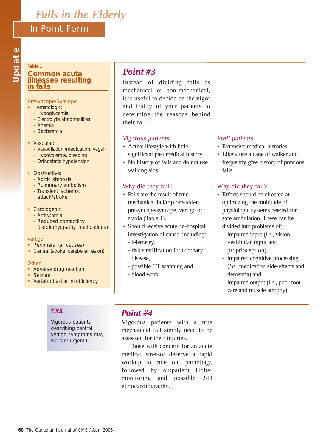## **Table 1 Common acute illnesses resulting in falls**

## Presyncope/Syncope

- Hematologic:
	- Hypoglycemia
	- Electrolyte abnormalities
	- Anemia
	- Bacteremia
- Vascular:
	- Vasodilation (medication, vagal)
	- Hypovolemia, bleeding
	- Orthostatic hypotension
- Obstructive:
	- Aortic stenosis
	- Pulmonary embolism
	- Transient ischemic attack/stroke
- Cardiogenic:
	- Arrhythmia
	- Reduced contactility (cardiomyopathy, medications)

#### Vertigo

- Peripheral (all causes)
- Central (stroke, cerebellar lesion)

## **Other**

- Adverse drug reaction
- Seizure
- Vertebrobasilar insufficiency

## *Point #3*

Instead of dividing falls as mechanical or non-mechanical, it is useful to decide on the vigor and frailty of your patients to determine the reasons behind their fall:

## *Vigorous patients*

- *•* Active lifestyle with little significant past medical history.
- No history of falls and do not use walking aids.

## Why did they fall?

- Falls are the result of true mechanical fall/trip or sudden presyncope/syncope, vertigo or ataxia (Table 1).
- Should receive acute, in-hospital investigation of cause, including:
	- telemetry,
	- risk stratification for coronary disease,
	- possible CT scanning and
	- blood work.

## *Frail patients*

- *•* Extensive medical histories.
- Likely use a cane or walker and frequently give history of previous falls.

## Why did they fall?

- Efforts should be directed at optimizing the multitude of physiologic systems needed for safe ambulation. These can be divided into problems of:
	- impaired input (*i.e.*, vision, vestibular input and proprioception),
	- impaired cognitive processing (*i.e.*, medication side-effects and dementia) and
	- impaired output (*i.e.*, poor foot care and muscle atrophy).

## **F.Y.I.**

Vigorous patients describing central vertigo symptoms may warrant urgent CT.

## *Point #4*

Vigorous patients with a true mechanical fall simply need to be assessed for their injuries.

Those with concern for an acute medical stressor deserve a rapid workup to rule out pathology, followed by outpatient Holter monitoring and possible 2-D echocardiography.